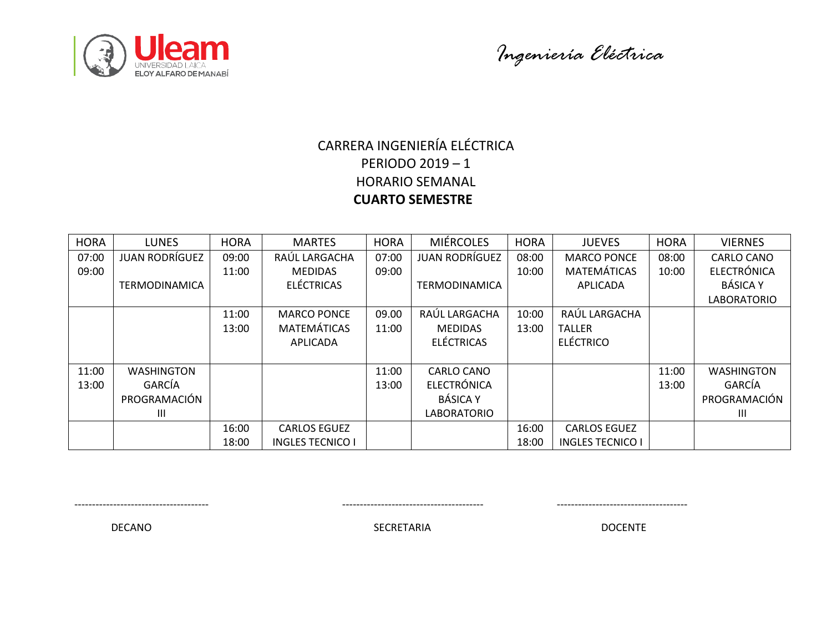



# CARRERA INGENIERÍA ELÉCTRICA PERIODO 2019 – 1 HORARIO SEMANAL  **CUARTO SEMESTRE**

| <b>HORA</b> | <b>LUNES</b>          | <b>HORA</b> | <b>MARTES</b>           | <b>HORA</b> | <b>MIÉRCOLES</b>      | <b>HORA</b> | <b>JUEVES</b>           | <b>HORA</b> | <b>VIERNES</b>     |
|-------------|-----------------------|-------------|-------------------------|-------------|-----------------------|-------------|-------------------------|-------------|--------------------|
| 07:00       | <b>JUAN RODRÍGUEZ</b> | 09:00       | RAÚL LARGACHA           | 07:00       | <b>JUAN RODRÍGUEZ</b> | 08:00       | <b>MARCO PONCE</b>      | 08:00       | <b>CARLO CANO</b>  |
| 09:00       |                       | 11:00       | <b>MEDIDAS</b>          | 09:00       |                       | 10:00       | <b>MATEMÁTICAS</b>      | 10:00       | <b>ELECTRÓNICA</b> |
|             | <b>TERMODINAMICA</b>  |             | <b>ELÉCTRICAS</b>       |             | <b>TERMODINAMICA</b>  |             | APLICADA                |             | <b>BÁSICA Y</b>    |
|             |                       |             |                         |             |                       |             |                         |             | <b>LABORATORIO</b> |
|             |                       | 11:00       | <b>MARCO PONCE</b>      | 09.00       | RAÚL LARGACHA         | 10:00       | RAÚL LARGACHA           |             |                    |
|             |                       | 13:00       | <b>MATEMÁTICAS</b>      | 11:00       | <b>MEDIDAS</b>        | 13:00       | <b>TALLER</b>           |             |                    |
|             |                       |             | <b>APLICADA</b>         |             | <b>ELÉCTRICAS</b>     |             | <b>ELÉCTRICO</b>        |             |                    |
|             |                       |             |                         |             |                       |             |                         |             |                    |
| 11:00       | <b>WASHINGTON</b>     |             |                         | 11:00       | CARLO CANO            |             |                         | 11:00       | <b>WASHINGTON</b>  |
| 13:00       | GARCÍA                |             |                         | 13:00       | <b>ELECTRÓNICA</b>    |             |                         | 13:00       | GARCÍA             |
|             | PROGRAMACIÓN          |             |                         |             | <b>BÁSICA Y</b>       |             |                         |             | PROGRAMACIÓN       |
|             | Ш                     |             |                         |             | <b>LABORATORIO</b>    |             |                         |             | Ш                  |
|             |                       | 16:00       | <b>CARLOS EGUEZ</b>     |             |                       | 16:00       | <b>CARLOS EGUEZ</b>     |             |                    |
|             |                       | 18:00       | <b>INGLES TECNICO I</b> |             |                       | 18:00       | <b>INGLES TECNICO I</b> |             |                    |

-------------------------------------- ---------------------------------------- -------------------------------------

DECANO DOCENTE SECRETARIA DOCENTE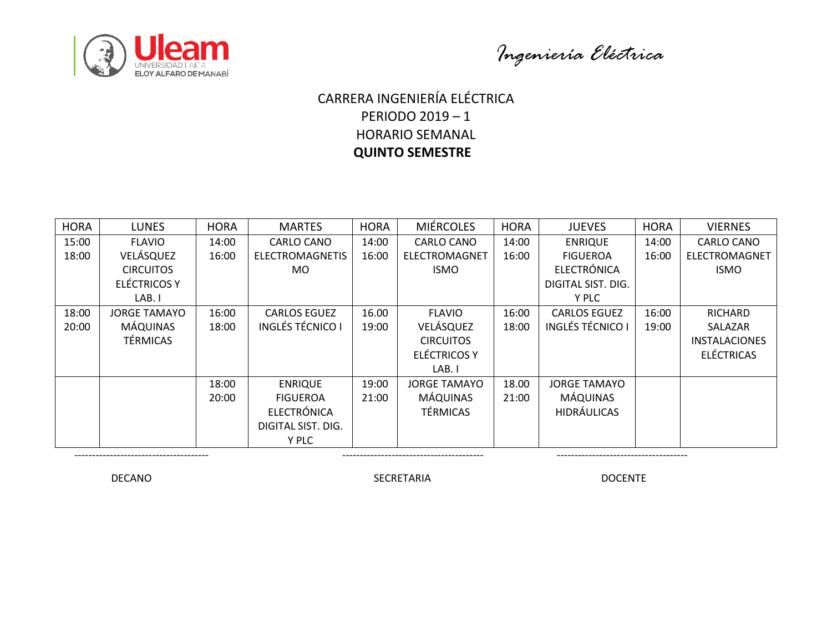



### $\overline{a}$ CARRERA INGENIERÍA ELÉCTRICA PERIODO 2019 – 1 HORARIO SEMANAL  **QUINTO SEMESTRE**

| <b>HORA</b> | <b>LUNES</b>        | <b>HORA</b> | <b>MARTES</b>           | <b>HORA</b> | <b>MIÉRCOLES</b>     | <b>HORA</b> | <b>JUEVES</b>           | <b>HORA</b> | <b>VIERNES</b>       |
|-------------|---------------------|-------------|-------------------------|-------------|----------------------|-------------|-------------------------|-------------|----------------------|
| 15:00       | <b>FLAVIO</b>       | 14:00       | <b>CARLO CANO</b>       | 14:00       | <b>CARLO CANO</b>    | 14:00       | <b>ENRIQUE</b>          | 14:00       | <b>CARLO CANO</b>    |
| 18:00       | VELÁSQUEZ           | 16:00       | <b>ELECTROMAGNETIS</b>  | 16:00       | <b>ELECTROMAGNET</b> | 16:00       | <b>FIGUEROA</b>         | 16:00       | ELECTROMAGNET        |
|             | <b>CIRCUITOS</b>    |             | MO.                     |             | <b>ISMO</b>          |             | <b>ELECTRÓNICA</b>      |             | <b>ISMO</b>          |
|             | ELÉCTRICOS Y        |             |                         |             |                      |             | DIGITAL SIST. DIG.      |             |                      |
|             | LAB. I              |             |                         |             |                      |             | Y PLC                   |             |                      |
| 18:00       | <b>JORGE TAMAYO</b> | 16:00       | <b>CARLOS EGUEZ</b>     | 16.00       | <b>FLAVIO</b>        | 16:00       | <b>CARLOS EGUEZ</b>     | 16:00       | RICHARD              |
| 20:00       | <b>MÁQUINAS</b>     | 18:00       | <b>INGLÉS TÉCNICO I</b> | 19:00       | VELÁSQUEZ            | 18:00       | <b>INGLÉS TÉCNICO I</b> | 19:00       | SALAZAR              |
|             | <b>TÉRMICAS</b>     |             |                         |             | <b>CIRCUITOS</b>     |             |                         |             | <b>INSTALACIONES</b> |
|             |                     |             |                         |             | <b>ELÉCTRICOS Y</b>  |             |                         |             | <b>ELÉCTRICAS</b>    |
|             |                     |             |                         |             | LAB. I               |             |                         |             |                      |
|             |                     | 18:00       | <b>ENRIQUE</b>          | 19:00       | <b>JORGE TAMAYO</b>  | 18.00       | <b>JORGE TAMAYO</b>     |             |                      |
|             |                     | 20:00       | <b>FIGUEROA</b>         | 21:00       | MÁQUINAS             | 21:00       | <b>MÁQUINAS</b>         |             |                      |
|             |                     |             | <b>ELECTRÓNICA</b>      |             | <b>TÉRMICAS</b>      |             | <b>HIDRÁULICAS</b>      |             |                      |
|             |                     |             | DIGITAL SIST. DIG.      |             |                      |             |                         |             |                      |
|             |                     |             | Y PLC                   |             |                      |             |                         |             |                      |

DECANO DOCENTE SECRETARIA DOCENTE

-------------------------------------- ---------------------------------------- -------------------------------------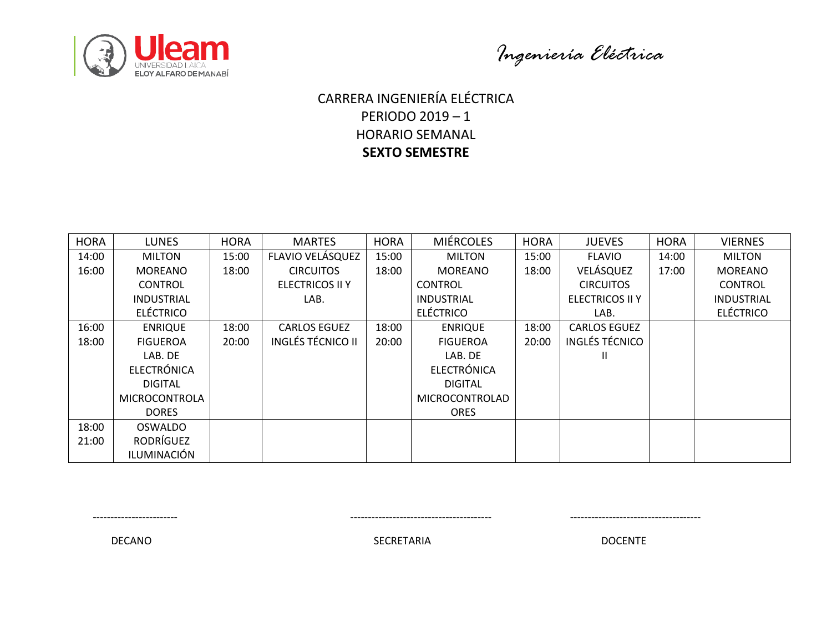



### $\overline{a}$ CARRERA INGENIERÍA ELÉCTRICA PERIODO 2019 – 1 HORARIO SEMANAL **SEXTO SEMESTRE**

| <b>HORA</b> | <b>LUNES</b>         | <b>HORA</b> | <b>MARTES</b>            | <b>HORA</b> | <b>MIÉRCOLES</b>   | <b>HORA</b> | <b>JUEVES</b>          | <b>HORA</b> | <b>VIERNES</b>    |
|-------------|----------------------|-------------|--------------------------|-------------|--------------------|-------------|------------------------|-------------|-------------------|
| 14:00       | <b>MILTON</b>        | 15:00       | FLAVIO VELÁSQUEZ         | 15:00       | <b>MILTON</b>      | 15:00       | <b>FLAVIO</b>          | 14:00       | <b>MILTON</b>     |
| 16:00       | <b>MOREANO</b>       | 18:00       | <b>CIRCUITOS</b>         | 18:00       | <b>MOREANO</b>     | 18:00       | VELÁSQUEZ              | 17:00       | <b>MOREANO</b>    |
|             | <b>CONTROL</b>       |             | <b>ELECTRICOS II Y</b>   |             | <b>CONTROL</b>     |             | <b>CIRCUITOS</b>       |             | <b>CONTROL</b>    |
|             | <b>INDUSTRIAL</b>    |             | LAB.                     |             | <b>INDUSTRIAL</b>  |             | <b>ELECTRICOS II Y</b> |             | <b>INDUSTRIAL</b> |
|             | <b>ELÉCTRICO</b>     |             |                          |             | <b>ELÉCTRICO</b>   |             | LAB.                   |             | <b>ELÉCTRICO</b>  |
| 16:00       | <b>ENRIQUE</b>       | 18:00       | <b>CARLOS EGUEZ</b>      | 18:00       | <b>ENRIQUE</b>     | 18:00       | <b>CARLOS EGUEZ</b>    |             |                   |
| 18:00       | <b>FIGUEROA</b>      | 20:00       | <b>INGLÉS TÉCNICO II</b> | 20:00       | <b>FIGUEROA</b>    | 20:00       | INGLÉS TÉCNICO         |             |                   |
|             | LAB. DE              |             |                          |             | LAB. DE            |             | $\mathbf{H}$           |             |                   |
|             | <b>ELECTRÓNICA</b>   |             |                          |             | <b>ELECTRÓNICA</b> |             |                        |             |                   |
|             | <b>DIGITAL</b>       |             |                          |             | <b>DIGITAL</b>     |             |                        |             |                   |
|             | <b>MICROCONTROLA</b> |             |                          |             | MICROCONTROLAD     |             |                        |             |                   |
|             | <b>DORES</b>         |             |                          |             | <b>ORES</b>        |             |                        |             |                   |
| 18:00       | <b>OSWALDO</b>       |             |                          |             |                    |             |                        |             |                   |
| 21:00       | RODRÍGUEZ            |             |                          |             |                    |             |                        |             |                   |
|             | ILUMINACIÓN          |             |                          |             |                    |             |                        |             |                   |

------------------------ ---------------------------------------- -------------------------------------

DECANO DOCENTE SECRETARIA DOCENTE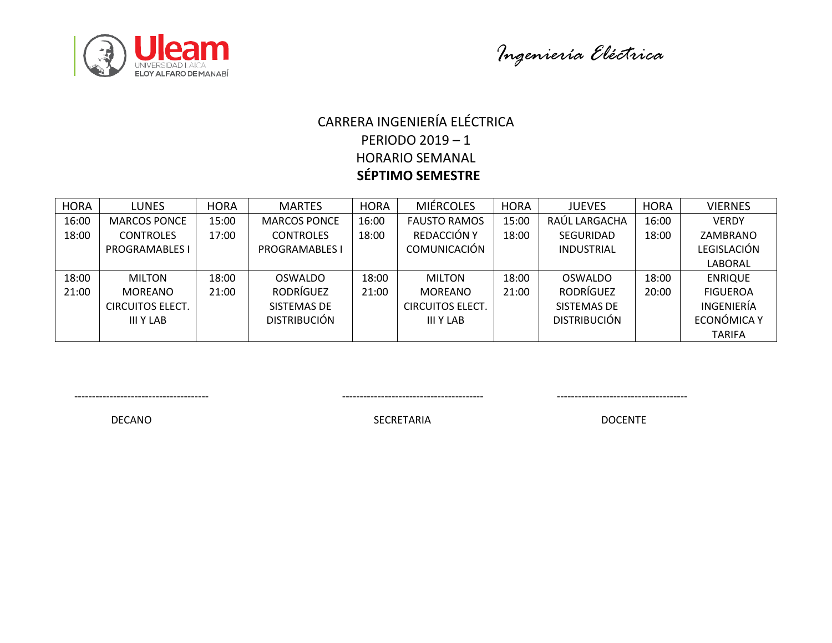



### CARRERA INGENIERÍA ELÉCTRICA PERIODO 2019 – 1 HORARIO SEMANAL  **SÉPTIMO SEMESTRE**

| <b>HORA</b> | <b>LUNES</b>            | <b>HORA</b> | <b>MARTES</b>         | <b>HORA</b> | <b>MIÉRCOLES</b>        | <b>HORA</b> | <b>JUEVES</b>       | <b>HORA</b> | <b>VIERNES</b>    |
|-------------|-------------------------|-------------|-----------------------|-------------|-------------------------|-------------|---------------------|-------------|-------------------|
| 16:00       | <b>MARCOS PONCE</b>     | 15:00       | <b>MARCOS PONCE</b>   | 16:00       | <b>FAUSTO RAMOS</b>     | 15:00       | RAÚL LARGACHA       | 16:00       | <b>VERDY</b>      |
| 18:00       | <b>CONTROLES</b>        | 17:00       | <b>CONTROLES</b>      | 18:00       | REDACCIÓN Y             | 18:00       | <b>SEGURIDAD</b>    | 18:00       | ZAMBRANO          |
|             | <b>PROGRAMABLES I</b>   |             | <b>PROGRAMABLES I</b> |             | <b>COMUNICACIÓN</b>     |             | <b>INDUSTRIAL</b>   |             | LEGISLACIÓN       |
|             |                         |             |                       |             |                         |             |                     |             | LABORAL           |
| 18:00       | <b>MILTON</b>           | 18:00       | <b>OSWALDO</b>        | 18:00       | <b>MILTON</b>           | 18:00       | OSWALDO             | 18:00       | <b>ENRIQUE</b>    |
| 21:00       | <b>MOREANO</b>          | 21:00       | <b>RODRÍGUEZ</b>      | 21:00       | <b>MOREANO</b>          | 21:00       | <b>RODRÍGUEZ</b>    | 20:00       | <b>FIGUEROA</b>   |
|             | <b>CIRCUITOS ELECT.</b> |             | SISTEMAS DE           |             | <b>CIRCUITOS ELECT.</b> |             | SISTEMAS DE         |             | <b>INGENIERÍA</b> |
|             | III Y LAB               |             | <b>DISTRIBUCIÓN</b>   |             | III Y LAB               |             | <b>DISTRIBUCIÓN</b> |             | ECONÓMICA Y       |
|             |                         |             |                       |             |                         |             |                     |             | <b>TARIFA</b>     |

-------------------------------------- ---------------------------------------- -------------------------------------

DECANO DOCENTE SECRETARIA DOCENTE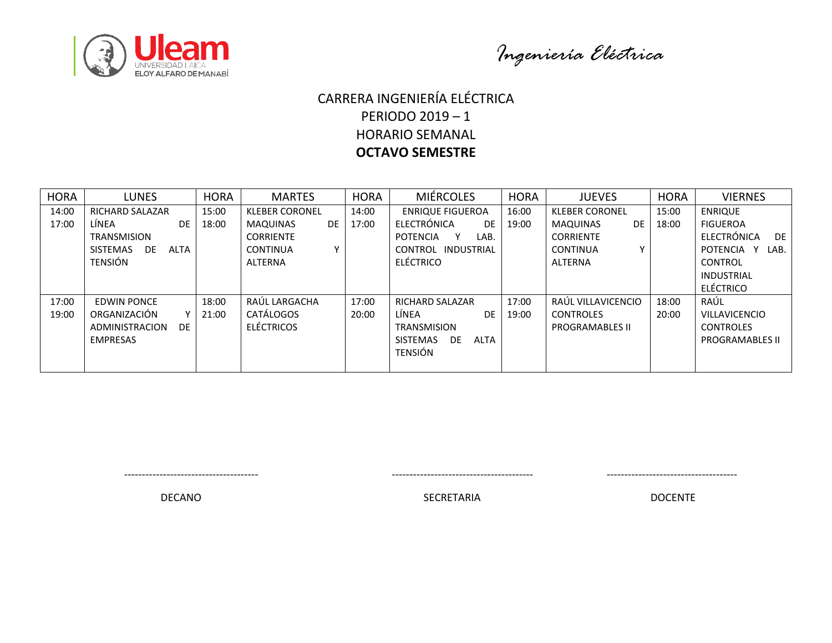

*Ingeniería Eléctrica*

### $\overline{a}$ CARRERA INGENIERÍA ELÉCTRICA PERIODO 2019 – 1 HORARIO SEMANAL **OCTAVO SEMESTRE**

| <b>HORA</b> | <b>LUNES</b>                | <b>HORA</b> | <b>MARTES</b>                   | <b>HORA</b> | <b>MIÉRCOLES</b>        | <b>HORA</b> | <b>JUEVES</b>                | <b>HORA</b> | <b>VIERNES</b>         |
|-------------|-----------------------------|-------------|---------------------------------|-------------|-------------------------|-------------|------------------------------|-------------|------------------------|
| 14:00       | <b>RICHARD SALAZAR</b>      | 15:00       | <b>KLEBER CORONEL</b>           | 14:00       | <b>ENRIQUE FIGUEROA</b> | 16:00       | <b>KLEBER CORONEL</b>        | 15:00       | <b>ENRIQUE</b>         |
| 17:00       | LÍNEA<br><b>DE</b>          | 18:00       | MAQUINAS<br>DE.                 | 17:00       | ELECTRÓNICA<br>DE       | 19:00       | <b>MAQUINAS</b><br><b>DE</b> | 18:00       | <b>FIGUEROA</b>        |
|             | <b>TRANSMISION</b>          |             | <b>CORRIENTE</b>                |             | POTENCIA<br>LAB.        |             | <b>CORRIENTE</b>             |             | ELECTRÓNICA<br>DE      |
|             | SISTEMAS<br>ALTA<br>DE      |             | $\checkmark$<br><b>CONTINUA</b> |             | CONTROL INDUSTRIAL      |             | <b>CONTINUA</b>              |             | POTENCIA Y<br>LAB.     |
|             | TENSIÓN                     |             | ALTERNA                         |             | ELÉCTRICO               |             | ALTERNA                      |             | CONTROL                |
|             |                             |             |                                 |             |                         |             |                              |             | INDUSTRIAL             |
|             |                             |             |                                 |             |                         |             |                              |             | <b>ELÉCTRICO</b>       |
| 17:00       | EDWIN PONCE                 | 18:00       | RAÚL LARGACHA                   | 17:00       | <b>RICHARD SALAZAR</b>  | 17:00       | RAÚL VILLAVICENCIO           | 18:00       | RAÚL                   |
| 19:00       | ORGANIZACIÓN<br>v           | 21:00       | <b>CATÁLOGOS</b>                | 20:00       | LÍNEA<br><b>DE</b>      | 19:00       | <b>CONTROLES</b>             | 20:00       | <b>VILLAVICENCIO</b>   |
|             | <b>DE</b><br>ADMINISTRACION |             | <b>ELÉCTRICOS</b>               |             | <b>TRANSMISION</b>      |             | <b>PROGRAMABLES II</b>       |             | <b>CONTROLES</b>       |
|             | <b>EMPRESAS</b>             |             |                                 |             | DE.<br>SISTEMAS<br>ALTA |             |                              |             | <b>PROGRAMABLES II</b> |
|             |                             |             |                                 |             | <b>TENSIÓN</b>          |             |                              |             |                        |
|             |                             |             |                                 |             |                         |             |                              |             |                        |

-------------------------------------- ---------------------------------------- -------------------------------------

DECANO DECANO DE EN ENTREGADO DE ENTREGADO DE ENTREGADO DE ENTREGADO DE ENTREGADO DE ENTREGADO DE ENTREGADO DE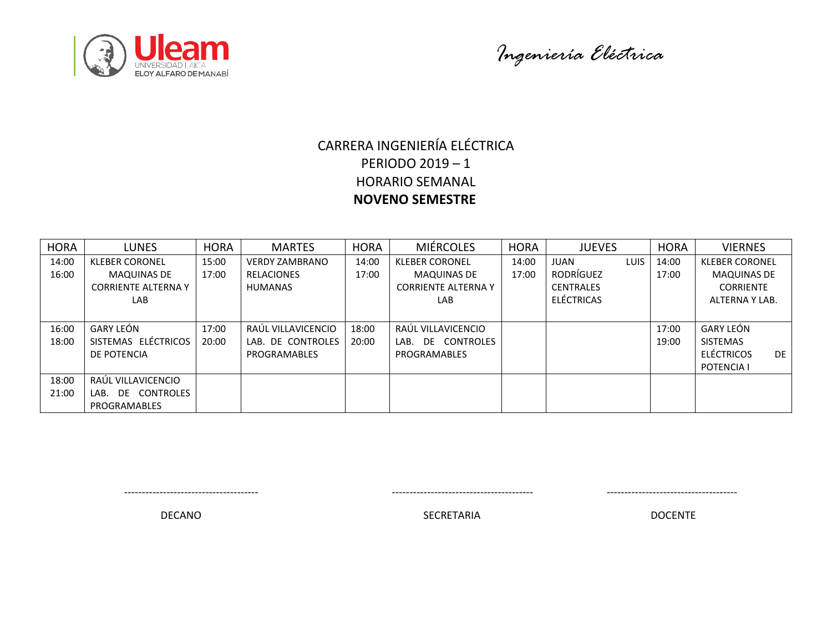



# CARRERA INGENIERÍA ELÉCTRICA PERIODO 2019 – 1 HORARIO SEMANAL  **NOVENO SEMESTRE**

| <b>HORA</b> | LUNES                      | <b>HORA</b> | <b>MARTES</b>         | <b>HORA</b> | <b>MIÉRCOLES</b>           | <b>HORA</b> | <b>JUEVES</b>     |             | <b>HORA</b> | <b>VIERNES</b>          |
|-------------|----------------------------|-------------|-----------------------|-------------|----------------------------|-------------|-------------------|-------------|-------------|-------------------------|
| 14:00       | <b>KLEBER CORONEL</b>      | 15:00       | <b>VERDY ZAMBRANO</b> | 14:00       | <b>KLEBER CORONEL</b>      | 14:00       | <b>JUAN</b>       | <b>LUIS</b> | 14:00       | <b>KLEBER CORONEL</b>   |
| 16:00       | <b>MAQUINAS DE</b>         | 17:00       | <b>RELACIONES</b>     | 17:00       | <b>MAQUINAS DE</b>         | 17:00       | RODRÍGUEZ         |             | 17:00       | <b>MAQUINAS DE</b>      |
|             | <b>CORRIENTE ALTERNA Y</b> |             | <b>HUMANAS</b>        |             | <b>CORRIENTE ALTERNA Y</b> |             | <b>CENTRALES</b>  |             |             | <b>CORRIENTE</b>        |
|             | LAB                        |             |                       |             | LAB.                       |             | <b>ELÉCTRICAS</b> |             |             | ALTERNA Y LAB.          |
|             |                            |             |                       |             |                            |             |                   |             |             |                         |
| 16:00       | GARY LEÓN                  | 17:00       | RAÚL VILLAVICENCIO    | 18:00       | RAÚL VILLAVICENCIO         |             |                   |             | 17:00       | GARY LEÓN               |
| 18:00       | SISTEMAS ELÉCTRICOS        | 20:00       | LAB. DE CONTROLES     | 20:00       | DE CONTROLES<br>LAB.       |             |                   |             | 19:00       | <b>SISTEMAS</b>         |
|             | DE POTENCIA                |             | PROGRAMABLES          |             | PROGRAMABLES               |             |                   |             |             | ELÉCTRICOS<br><b>DE</b> |
|             |                            |             |                       |             |                            |             |                   |             |             | POTENCIA I              |
| 18:00       | RAÚL VILLAVICENCIO         |             |                       |             |                            |             |                   |             |             |                         |
| 21:00       | CONTROLES<br>DE<br>LAB.    |             |                       |             |                            |             |                   |             |             |                         |
|             | PROGRAMABLES               |             |                       |             |                            |             |                   |             |             |                         |

-------------------------------------- ---------------------------------------- -------------------------------------

DECANO DECANO DE ESTE EN ENTREGADO DE ENTREGADO DE ENTREGADO DE ENTREGADO DE ENTREGADO DE ENTREGADO DE ENTREGA